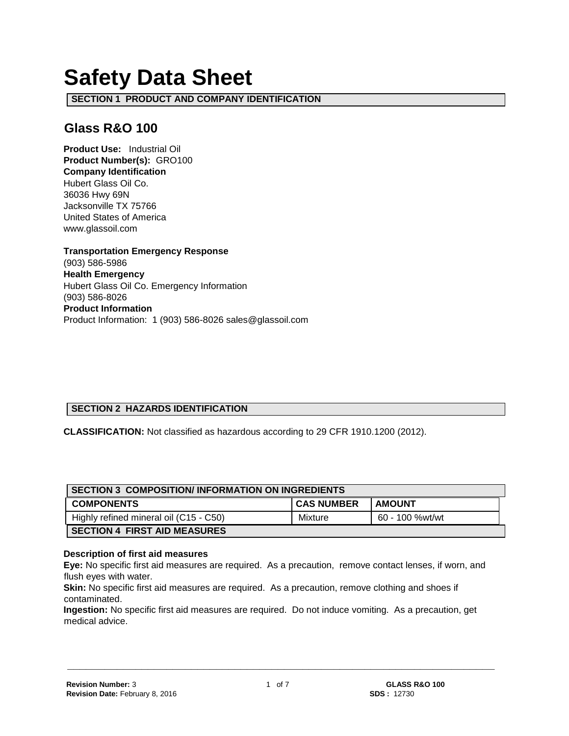# **Safety Data Sheet**

**SECTION 1 PRODUCT AND COMPANY IDENTIFICATION**

# **Glass R&O 100**

**Product Use:** Industrial Oil **Product Number(s):** GRO100 **Company Identification** Hubert Glass Oil Co. 36036 Hwy 69N Jacksonville TX 75766 United States of America www.glassoil.com

**Transportation Emergency Response** (903) 586-5986 **Health Emergency** Hubert Glass Oil Co. Emergency Information (903) 586-8026 **Product Information**  Product Information: 1 (903) 586-8026 sales@glassoil.com

# **SECTION 2 HAZARDS IDENTIFICATION**

**CLASSIFICATION:** Not classified as hazardous according to 29 CFR 1910.1200 (2012).

| <b>SECTION 3 COMPOSITION/INFORMATION ON INGREDIENTS</b> |                   |                 |  |
|---------------------------------------------------------|-------------------|-----------------|--|
| <b>COMPONENTS</b>                                       | <b>CAS NUMBER</b> | <b>AMOUNT</b>   |  |
| Highly refined mineral oil (C15 - C50)                  | Mixture           | 60 - 100 %wt/wt |  |
| <b>SECTION 4 FIRST AID MEASURES</b>                     |                   |                 |  |

#### **Description of first aid measures**

**Eye:** No specific first aid measures are required. As a precaution, remove contact lenses, if worn, and flush eyes with water.

**Skin:** No specific first aid measures are required. As a precaution, remove clothing and shoes if contaminated.

**Ingestion:** No specific first aid measures are required. Do not induce vomiting. As a precaution, get medical advice.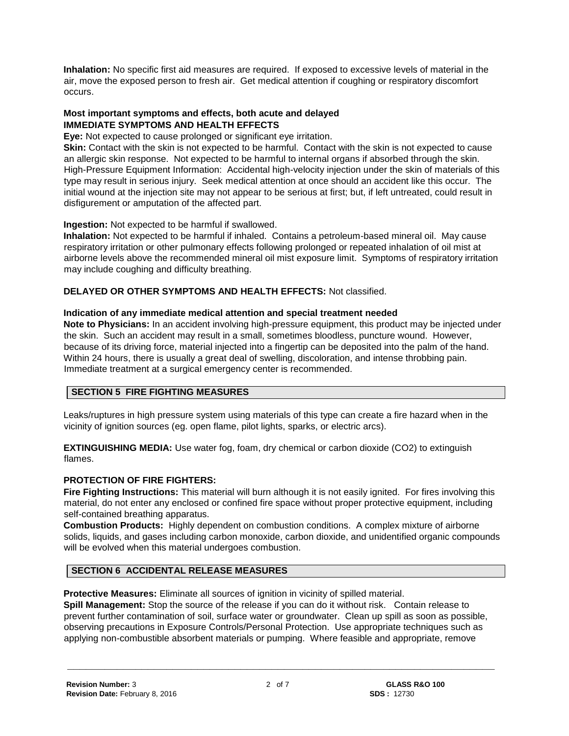**Inhalation:** No specific first aid measures are required. If exposed to excessive levels of material in the air, move the exposed person to fresh air. Get medical attention if coughing or respiratory discomfort occurs.

#### **Most important symptoms and effects, both acute and delayed IMMEDIATE SYMPTOMS AND HEALTH EFFECTS**

**Eye:** Not expected to cause prolonged or significant eye irritation.

**Skin:** Contact with the skin is not expected to be harmful. Contact with the skin is not expected to cause an allergic skin response. Not expected to be harmful to internal organs if absorbed through the skin. High-Pressure Equipment Information: Accidental high-velocity injection under the skin of materials of this type may result in serious injury. Seek medical attention at once should an accident like this occur. The initial wound at the injection site may not appear to be serious at first; but, if left untreated, could result in disfigurement or amputation of the affected part.

**Ingestion:** Not expected to be harmful if swallowed.

**Inhalation:** Not expected to be harmful if inhaled. Contains a petroleum-based mineral oil. May cause respiratory irritation or other pulmonary effects following prolonged or repeated inhalation of oil mist at airborne levels above the recommended mineral oil mist exposure limit. Symptoms of respiratory irritation may include coughing and difficulty breathing.

**DELAYED OR OTHER SYMPTOMS AND HEALTH EFFECTS:** Not classified.

## **Indication of any immediate medical attention and special treatment needed**

**Note to Physicians:** In an accident involving high-pressure equipment, this product may be injected under the skin. Such an accident may result in a small, sometimes bloodless, puncture wound. However, because of its driving force, material injected into a fingertip can be deposited into the palm of the hand. Within 24 hours, there is usually a great deal of swelling, discoloration, and intense throbbing pain. Immediate treatment at a surgical emergency center is recommended.

# **SECTION 5 FIRE FIGHTING MEASURES**

Leaks/ruptures in high pressure system using materials of this type can create a fire hazard when in the vicinity of ignition sources (eg. open flame, pilot lights, sparks, or electric arcs).

**EXTINGUISHING MEDIA:** Use water fog, foam, dry chemical or carbon dioxide (CO2) to extinguish flames.

# **PROTECTION OF FIRE FIGHTERS:**

**Fire Fighting Instructions:** This material will burn although it is not easily ignited. For fires involving this material, do not enter any enclosed or confined fire space without proper protective equipment, including self-contained breathing apparatus.

**Combustion Products:** Highly dependent on combustion conditions. A complex mixture of airborne solids, liquids, and gases including carbon monoxide, carbon dioxide, and unidentified organic compounds will be evolved when this material undergoes combustion.

# **SECTION 6 ACCIDENTAL RELEASE MEASURES**

**Protective Measures:** Eliminate all sources of ignition in vicinity of spilled material.

**Spill Management:** Stop the source of the release if you can do it without risk. Contain release to prevent further contamination of soil, surface water or groundwater. Clean up spill as soon as possible, observing precautions in Exposure Controls/Personal Protection. Use appropriate techniques such as applying non-combustible absorbent materials or pumping. Where feasible and appropriate, remove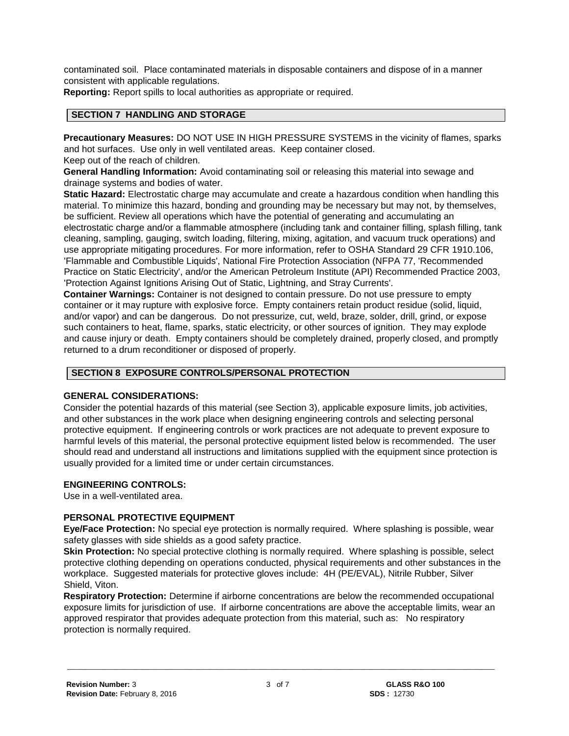contaminated soil. Place contaminated materials in disposable containers and dispose of in a manner consistent with applicable regulations.

**Reporting:** Report spills to local authorities as appropriate or required.

#### **SECTION 7 HANDLING AND STORAGE**

**Precautionary Measures:** DO NOT USE IN HIGH PRESSURE SYSTEMS in the vicinity of flames, sparks and hot surfaces. Use only in well ventilated areas. Keep container closed.

Keep out of the reach of children.

**General Handling Information:** Avoid contaminating soil or releasing this material into sewage and drainage systems and bodies of water.

**Static Hazard:** Electrostatic charge may accumulate and create a hazardous condition when handling this material. To minimize this hazard, bonding and grounding may be necessary but may not, by themselves, be sufficient. Review all operations which have the potential of generating and accumulating an electrostatic charge and/or a flammable atmosphere (including tank and container filling, splash filling, tank cleaning, sampling, gauging, switch loading, filtering, mixing, agitation, and vacuum truck operations) and use appropriate mitigating procedures. For more information, refer to OSHA Standard 29 CFR 1910.106, 'Flammable and Combustible Liquids', National Fire Protection Association (NFPA 77, 'Recommended Practice on Static Electricity', and/or the American Petroleum Institute (API) Recommended Practice 2003, 'Protection Against Ignitions Arising Out of Static, Lightning, and Stray Currents'.

**Container Warnings:** Container is not designed to contain pressure. Do not use pressure to empty container or it may rupture with explosive force. Empty containers retain product residue (solid, liquid, and/or vapor) and can be dangerous. Do not pressurize, cut, weld, braze, solder, drill, grind, or expose such containers to heat, flame, sparks, static electricity, or other sources of ignition. They may explode and cause injury or death. Empty containers should be completely drained, properly closed, and promptly returned to a drum reconditioner or disposed of properly.

#### **SECTION 8 EXPOSURE CONTROLS/PERSONAL PROTECTION**

#### **GENERAL CONSIDERATIONS:**

Consider the potential hazards of this material (see Section 3), applicable exposure limits, job activities, and other substances in the work place when designing engineering controls and selecting personal protective equipment. If engineering controls or work practices are not adequate to prevent exposure to harmful levels of this material, the personal protective equipment listed below is recommended. The user should read and understand all instructions and limitations supplied with the equipment since protection is usually provided for a limited time or under certain circumstances.

#### **ENGINEERING CONTROLS:**

Use in a well-ventilated area.

#### **PERSONAL PROTECTIVE EQUIPMENT**

**Eye/Face Protection:** No special eye protection is normally required. Where splashing is possible, wear safety glasses with side shields as a good safety practice.

**Skin Protection:** No special protective clothing is normally required. Where splashing is possible, select protective clothing depending on operations conducted, physical requirements and other substances in the workplace. Suggested materials for protective gloves include: 4H (PE/EVAL), Nitrile Rubber, Silver Shield, Viton.

**Respiratory Protection:** Determine if airborne concentrations are below the recommended occupational exposure limits for jurisdiction of use. If airborne concentrations are above the acceptable limits, wear an approved respirator that provides adequate protection from this material, such as: No respiratory protection is normally required.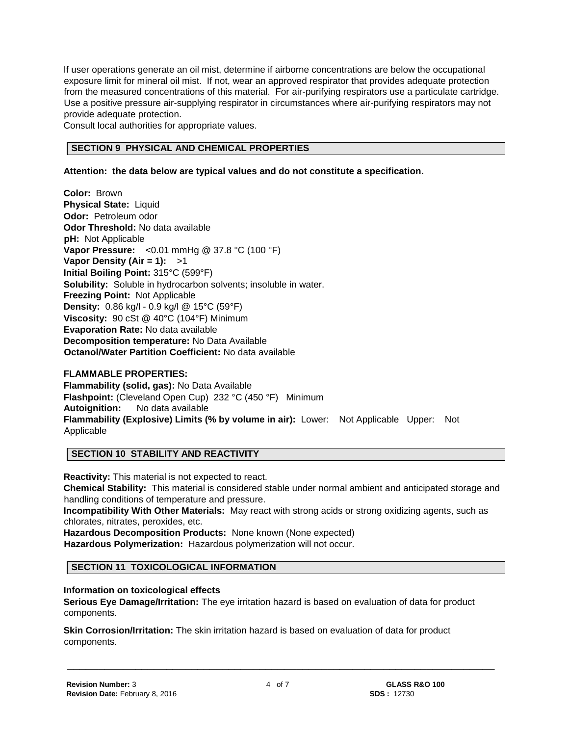If user operations generate an oil mist, determine if airborne concentrations are below the occupational exposure limit for mineral oil mist. If not, wear an approved respirator that provides adequate protection from the measured concentrations of this material. For air-purifying respirators use a particulate cartridge. Use a positive pressure air-supplying respirator in circumstances where air-purifying respirators may not provide adequate protection.

Consult local authorities for appropriate values.

## **SECTION 9 PHYSICAL AND CHEMICAL PROPERTIES**

#### **Attention: the data below are typical values and do not constitute a specification.**

**Color:** Brown **Physical State:** Liquid **Odor:** Petroleum odor **Odor Threshold:** No data available **pH:** Not Applicable **Vapor Pressure:** <0.01 mmHg @ 37.8 °C (100 °F) **Vapor Density (Air = 1):** >1 **Initial Boiling Point:** 315°C (599°F) **Solubility:** Soluble in hydrocarbon solvents; insoluble in water. **Freezing Point:** Not Applicable **Density:** 0.86 kg/l - 0.9 kg/l @ 15°C (59°F) **Viscosity:** 90 cSt @ 40°C (104°F) Minimum **Evaporation Rate:** No data available **Decomposition temperature:** No Data Available **Octanol/Water Partition Coefficient:** No data available

#### **FLAMMABLE PROPERTIES:**

**Flammability (solid, gas):** No Data Available **Flashpoint:** (Cleveland Open Cup) 232 °C (450 °F) Minimum **Autoignition:** No data available **Flammability (Explosive) Limits (% by volume in air):** Lower: Not Applicable Upper: Not Applicable

#### **SECTION 10 STABILITY AND REACTIVITY**

**Reactivity:** This material is not expected to react.

**Chemical Stability:** This material is considered stable under normal ambient and anticipated storage and handling conditions of temperature and pressure.

**Incompatibility With Other Materials:** May react with strong acids or strong oxidizing agents, such as chlorates, nitrates, peroxides, etc.

**Hazardous Decomposition Products:** None known (None expected) **Hazardous Polymerization:** Hazardous polymerization will not occur.

#### **SECTION 11 TOXICOLOGICAL INFORMATION**

#### **Information on toxicological effects**

**Serious Eye Damage/Irritation:** The eye irritation hazard is based on evaluation of data for product components.

**Skin Corrosion/Irritation:** The skin irritation hazard is based on evaluation of data for product components.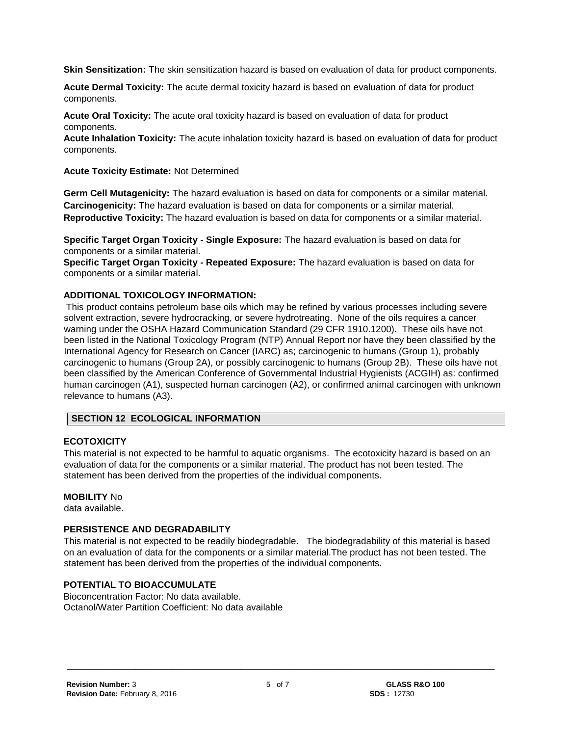**Skin Sensitization:** The skin sensitization hazard is based on evaluation of data for product components.

**Acute Dermal Toxicity:** The acute dermal toxicity hazard is based on evaluation of data for product components.

**Acute Oral Toxicity:** The acute oral toxicity hazard is based on evaluation of data for product components.

**Acute Inhalation Toxicity:** The acute inhalation toxicity hazard is based on evaluation of data for product components.

**Acute Toxicity Estimate:** Not Determined

**Germ Cell Mutagenicity:** The hazard evaluation is based on data for components or a similar material. **Carcinogenicity:** The hazard evaluation is based on data for components or a similar material. **Reproductive Toxicity:** The hazard evaluation is based on data for components or a similar material.

**Specific Target Organ Toxicity - Single Exposure:** The hazard evaluation is based on data for components or a similar material.

**Specific Target Organ Toxicity - Repeated Exposure:** The hazard evaluation is based on data for components or a similar material.

#### **ADDITIONAL TOXICOLOGY INFORMATION:**

This product contains petroleum base oils which may be refined by various processes including severe solvent extraction, severe hydrocracking, or severe hydrotreating. None of the oils requires a cancer warning under the OSHA Hazard Communication Standard (29 CFR 1910.1200). These oils have not been listed in the National Toxicology Program (NTP) Annual Report nor have they been classified by the International Agency for Research on Cancer (IARC) as; carcinogenic to humans (Group 1), probably carcinogenic to humans (Group 2A), or possibly carcinogenic to humans (Group 2B). These oils have not been classified by the American Conference of Governmental Industrial Hygienists (ACGIH) as: confirmed human carcinogen (A1), suspected human carcinogen (A2), or confirmed animal carcinogen with unknown relevance to humans (A3).

#### **SECTION 12 ECOLOGICAL INFORMATION**

#### **ECOTOXICITY**

This material is not expected to be harmful to aquatic organisms. The ecotoxicity hazard is based on an evaluation of data for the components or a similar material. The product has not been tested. The statement has been derived from the properties of the individual components.

#### **MOBILITY** No

data available.

#### **PERSISTENCE AND DEGRADABILITY**

This material is not expected to be readily biodegradable. The biodegradability of this material is based on an evaluation of data for the components or a similar material.The product has not been tested. The statement has been derived from the properties of the individual components.

#### **POTENTIAL TO BIOACCUMULATE**

Bioconcentration Factor: No data available. Octanol/Water Partition Coefficient: No data available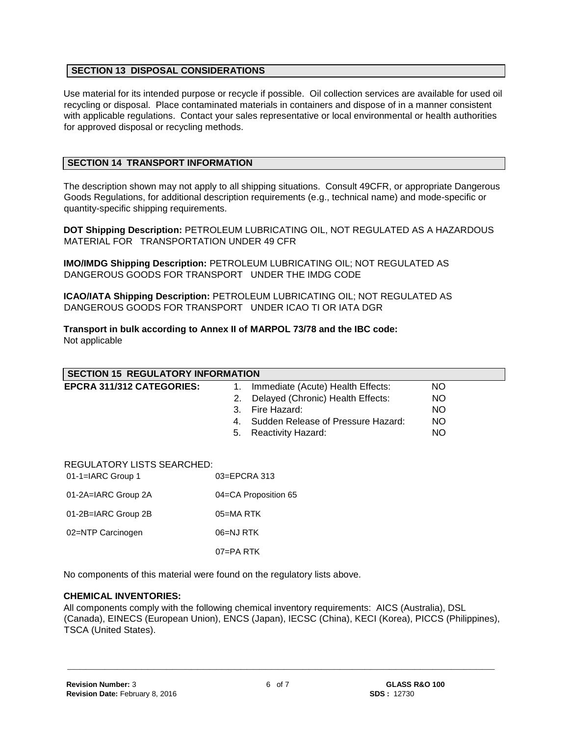#### **SECTION 13 DISPOSAL CONSIDERATIONS**

Use material for its intended purpose or recycle if possible. Oil collection services are available for used oil recycling or disposal. Place contaminated materials in containers and dispose of in a manner consistent with applicable regulations. Contact your sales representative or local environmental or health authorities for approved disposal or recycling methods.

#### **SECTION 14 TRANSPORT INFORMATION**

The description shown may not apply to all shipping situations. Consult 49CFR, or appropriate Dangerous Goods Regulations, for additional description requirements (e.g., technical name) and mode-specific or quantity-specific shipping requirements.

**DOT Shipping Description:** PETROLEUM LUBRICATING OIL, NOT REGULATED AS A HAZARDOUS MATERIAL FOR TRANSPORTATION UNDER 49 CFR

**IMO/IMDG Shipping Description:** PETROLEUM LUBRICATING OIL; NOT REGULATED AS DANGEROUS GOODS FOR TRANSPORT UNDER THE IMDG CODE

**ICAO/IATA Shipping Description:** PETROLEUM LUBRICATING OIL; NOT REGULATED AS DANGEROUS GOODS FOR TRANSPORT UNDER ICAO TI OR IATA DGR

**Transport in bulk according to Annex II of MARPOL 73/78 and the IBC code:** Not applicable

| <b>SECTION 15 REGULATORY INFORMATION</b>               |                                                                                                                                                                                         |                              |  |
|--------------------------------------------------------|-----------------------------------------------------------------------------------------------------------------------------------------------------------------------------------------|------------------------------|--|
| EPCRA 311/312 CATEGORIES:                              | Immediate (Acute) Health Effects:<br>1.<br>Delayed (Chronic) Health Effects:<br>2.<br>Fire Hazard:<br>3.<br>Sudden Release of Pressure Hazard:<br>4.<br><b>Reactivity Hazard:</b><br>5. | NO.<br>NO<br>NO.<br>NO<br>NO |  |
| <b>REGULATORY LISTS SEARCHED:</b><br>01-1=IARC Group 1 | 03=EPCRA 313                                                                                                                                                                            |                              |  |
| 01-2A=IARC Group 2A                                    | 04=CA Proposition 65                                                                                                                                                                    |                              |  |
| 01-2B=IARC Group 2B                                    | 05=MA RTK                                                                                                                                                                               |                              |  |
| 02=NTP Carcinogen                                      | 06=NJ RTK                                                                                                                                                                               |                              |  |
|                                                        | 07=PA RTK                                                                                                                                                                               |                              |  |

No components of this material were found on the regulatory lists above.

#### **CHEMICAL INVENTORIES:**

All components comply with the following chemical inventory requirements: AICS (Australia), DSL (Canada), EINECS (European Union), ENCS (Japan), IECSC (China), KECI (Korea), PICCS (Philippines), TSCA (United States).